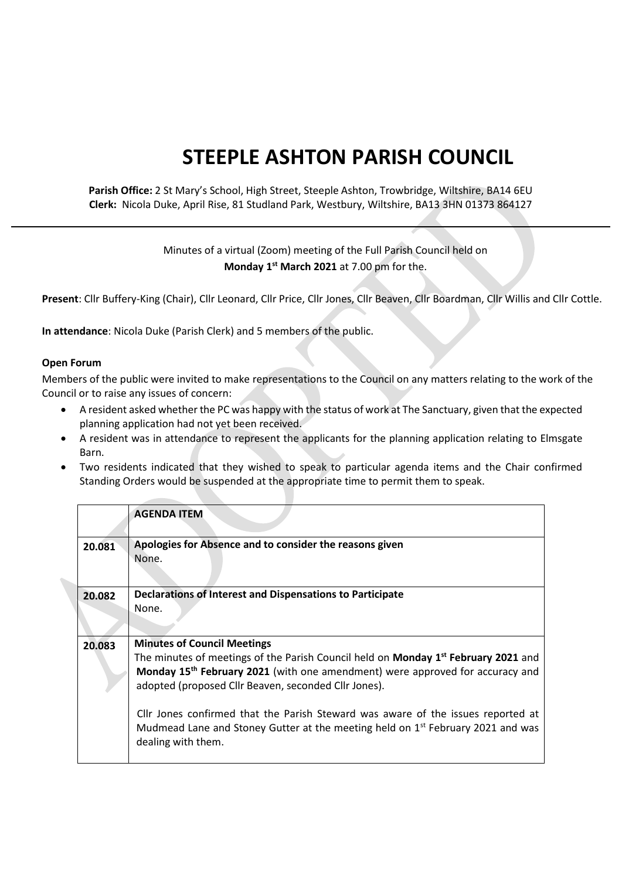## **STEEPLE ASHTON PARISH COUNCIL**

## **Parish Office:** 2 St Mary's School, High Street, Steeple Ashton, Trowbridge, Wiltshire, BA14 6EU **Clerk:** Nicola Duke, April Rise, 81 Studland Park, Westbury, Wiltshire, BA13 3HN 01373 864127

## Minutes of a virtual (Zoom) meeting of the Full Parish Council held on **Monday 1 st March 2021** at 7.00 pm for the.

**Present**: Cllr Buffery-King (Chair), Cllr Leonard, Cllr Price, Cllr Jones, Cllr Beaven, Cllr Boardman, Cllr Willis and Cllr Cottle.

**In attendance**: Nicola Duke (Parish Clerk) and 5 members of the public.

## **Open Forum**

Members of the public were invited to make representations to the Council on any matters relating to the work of the Council or to raise any issues of concern:

- A resident asked whether the PC was happy with the status of work at The Sanctuary, given that the expected planning application had not yet been received.
- A resident was in attendance to represent the applicants for the planning application relating to Elmsgate Barn.
- Two residents indicated that they wished to speak to particular agenda items and the Chair confirmed Standing Orders would be suspended at the appropriate time to permit them to speak.

|        | <b>AGENDA ITEM</b>                                                                                                                                                                                                                                                                   |
|--------|--------------------------------------------------------------------------------------------------------------------------------------------------------------------------------------------------------------------------------------------------------------------------------------|
| 20.081 | Apologies for Absence and to consider the reasons given<br>None.                                                                                                                                                                                                                     |
| 20.082 | Declarations of Interest and Dispensations to Participate<br>None.                                                                                                                                                                                                                   |
| 20.083 | <b>Minutes of Council Meetings</b><br>The minutes of meetings of the Parish Council held on <b>Monday 1st February 2021</b> and<br>Monday 15 <sup>th</sup> February 2021 (with one amendment) were approved for accuracy and<br>adopted (proposed Cllr Beaven, seconded Cllr Jones). |
|        | Cllr Jones confirmed that the Parish Steward was aware of the issues reported at<br>Mudmead Lane and Stoney Gutter at the meeting held on 1 <sup>st</sup> February 2021 and was<br>dealing with them.                                                                                |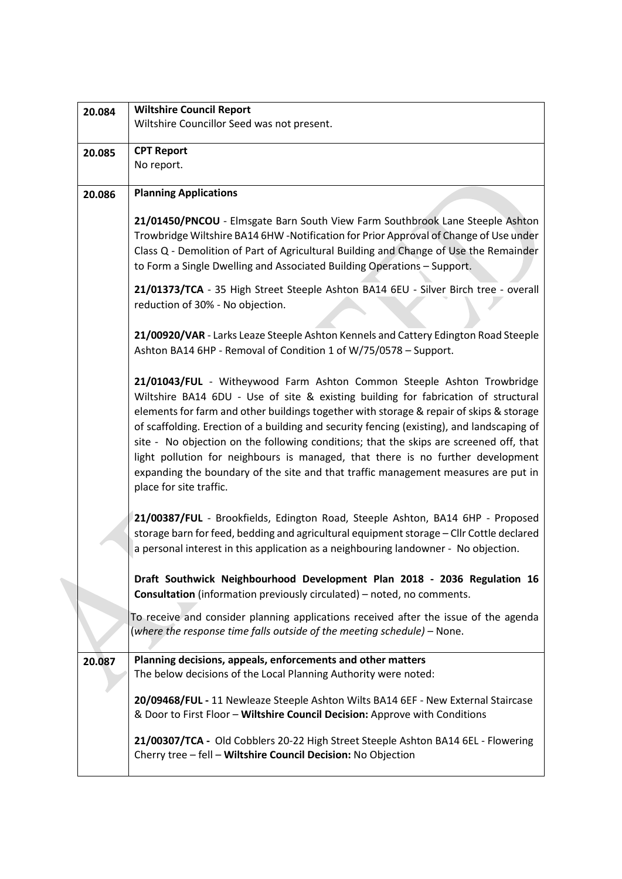| 20.084 | <b>Wiltshire Council Report</b>                                                                                                                                                                                                                                                                                                                                                                                                                                                                                                                                                                                                                     |
|--------|-----------------------------------------------------------------------------------------------------------------------------------------------------------------------------------------------------------------------------------------------------------------------------------------------------------------------------------------------------------------------------------------------------------------------------------------------------------------------------------------------------------------------------------------------------------------------------------------------------------------------------------------------------|
|        | Wiltshire Councillor Seed was not present.                                                                                                                                                                                                                                                                                                                                                                                                                                                                                                                                                                                                          |
| 20.085 | <b>CPT Report</b>                                                                                                                                                                                                                                                                                                                                                                                                                                                                                                                                                                                                                                   |
|        | No report.                                                                                                                                                                                                                                                                                                                                                                                                                                                                                                                                                                                                                                          |
| 20.086 | <b>Planning Applications</b>                                                                                                                                                                                                                                                                                                                                                                                                                                                                                                                                                                                                                        |
|        | 21/01450/PNCOU - Elmsgate Barn South View Farm Southbrook Lane Steeple Ashton<br>Trowbridge Wiltshire BA14 6HW -Notification for Prior Approval of Change of Use under<br>Class Q - Demolition of Part of Agricultural Building and Change of Use the Remainder<br>to Form a Single Dwelling and Associated Building Operations - Support.                                                                                                                                                                                                                                                                                                          |
|        | 21/01373/TCA - 35 High Street Steeple Ashton BA14 6EU - Silver Birch tree - overall<br>reduction of 30% - No objection.                                                                                                                                                                                                                                                                                                                                                                                                                                                                                                                             |
|        | 21/00920/VAR - Larks Leaze Steeple Ashton Kennels and Cattery Edington Road Steeple<br>Ashton BA14 6HP - Removal of Condition 1 of W/75/0578 - Support.                                                                                                                                                                                                                                                                                                                                                                                                                                                                                             |
|        | 21/01043/FUL - Witheywood Farm Ashton Common Steeple Ashton Trowbridge<br>Wiltshire BA14 6DU - Use of site & existing building for fabrication of structural<br>elements for farm and other buildings together with storage & repair of skips & storage<br>of scaffolding. Erection of a building and security fencing (existing), and landscaping of<br>site - No objection on the following conditions; that the skips are screened off, that<br>light pollution for neighbours is managed, that there is no further development<br>expanding the boundary of the site and that traffic management measures are put in<br>place for site traffic. |
|        | 21/00387/FUL - Brookfields, Edington Road, Steeple Ashton, BA14 6HP - Proposed<br>storage barn for feed, bedding and agricultural equipment storage - Cllr Cottle declared<br>a personal interest in this application as a neighbouring landowner - No objection.                                                                                                                                                                                                                                                                                                                                                                                   |
|        | Draft Southwick Neighbourhood Development Plan 2018 - 2036 Regulation 16<br><b>Consultation</b> (information previously circulated) - noted, no comments.                                                                                                                                                                                                                                                                                                                                                                                                                                                                                           |
|        | To receive and consider planning applications received after the issue of the agenda<br>(where the response time falls outside of the meeting schedule) – None.                                                                                                                                                                                                                                                                                                                                                                                                                                                                                     |
| 20.087 | Planning decisions, appeals, enforcements and other matters<br>The below decisions of the Local Planning Authority were noted:                                                                                                                                                                                                                                                                                                                                                                                                                                                                                                                      |
|        | 20/09468/FUL - 11 Newleaze Steeple Ashton Wilts BA14 6EF - New External Staircase<br>& Door to First Floor - Wiltshire Council Decision: Approve with Conditions                                                                                                                                                                                                                                                                                                                                                                                                                                                                                    |
|        | 21/00307/TCA - Old Cobblers 20-22 High Street Steeple Ashton BA14 6EL - Flowering<br>Cherry tree - fell - Wiltshire Council Decision: No Objection                                                                                                                                                                                                                                                                                                                                                                                                                                                                                                  |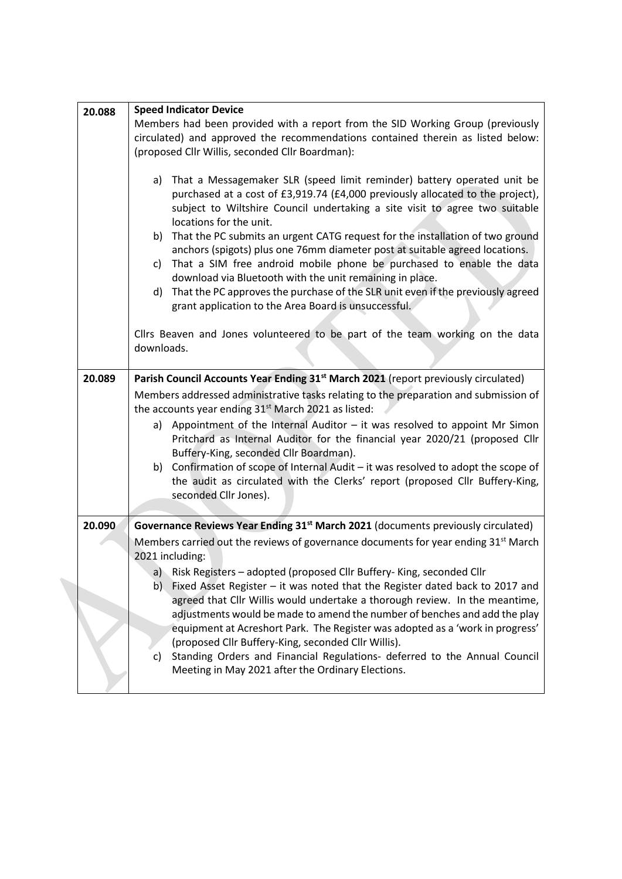| 20.088 | <b>Speed Indicator Device</b>                                                                                                                                      |
|--------|--------------------------------------------------------------------------------------------------------------------------------------------------------------------|
|        | Members had been provided with a report from the SID Working Group (previously                                                                                     |
|        | circulated) and approved the recommendations contained therein as listed below:                                                                                    |
|        | (proposed Cllr Willis, seconded Cllr Boardman):                                                                                                                    |
|        |                                                                                                                                                                    |
|        | a) That a Messagemaker SLR (speed limit reminder) battery operated unit be                                                                                         |
|        | purchased at a cost of £3,919.74 (£4,000 previously allocated to the project),                                                                                     |
|        | subject to Wiltshire Council undertaking a site visit to agree two suitable                                                                                        |
|        | locations for the unit.                                                                                                                                            |
|        | That the PC submits an urgent CATG request for the installation of two ground<br>b)<br>anchors (spigots) plus one 76mm diameter post at suitable agreed locations. |
|        | c) That a SIM free android mobile phone be purchased to enable the data                                                                                            |
|        | download via Bluetooth with the unit remaining in place.                                                                                                           |
|        | That the PC approves the purchase of the SLR unit even if the previously agreed<br>d)                                                                              |
|        | grant application to the Area Board is unsuccessful.                                                                                                               |
|        |                                                                                                                                                                    |
|        | Cllrs Beaven and Jones volunteered to be part of the team working on the data                                                                                      |
|        | downloads.                                                                                                                                                         |
|        |                                                                                                                                                                    |
| 20.089 | Parish Council Accounts Year Ending 31 <sup>st</sup> March 2021 (report previously circulated)                                                                     |
|        | Members addressed administrative tasks relating to the preparation and submission of                                                                               |
|        | the accounts year ending 31 <sup>st</sup> March 2021 as listed:                                                                                                    |
|        | a) Appointment of the Internal Auditor $-$ it was resolved to appoint Mr Simon                                                                                     |
|        | Pritchard as Internal Auditor for the financial year 2020/21 (proposed Cllr                                                                                        |
|        | Buffery-King, seconded Cllr Boardman).                                                                                                                             |
|        | Confirmation of scope of Internal Audit - it was resolved to adopt the scope of<br>b)                                                                              |
|        | the audit as circulated with the Clerks' report (proposed Cllr Buffery-King,                                                                                       |
|        | seconded Cllr Jones).                                                                                                                                              |
|        |                                                                                                                                                                    |
| 20.090 | Governance Reviews Year Ending 31 <sup>st</sup> March 2021 (documents previously circulated)                                                                       |
|        | Members carried out the reviews of governance documents for year ending 31 <sup>st</sup> March                                                                     |
|        | 2021 including:                                                                                                                                                    |
|        | Risk Registers - adopted (proposed Cllr Buffery-King, seconded Cllr<br>a)                                                                                          |
|        | Fixed Asset Register - it was noted that the Register dated back to 2017 and<br>b)                                                                                 |
|        | agreed that Cllr Willis would undertake a thorough review. In the meantime,                                                                                        |
|        | adjustments would be made to amend the number of benches and add the play                                                                                          |
|        | equipment at Acreshort Park. The Register was adopted as a 'work in progress'                                                                                      |
|        | (proposed Cllr Buffery-King, seconded Cllr Willis).                                                                                                                |
|        | Standing Orders and Financial Regulations- deferred to the Annual Council<br>c)                                                                                    |
|        | Meeting in May 2021 after the Ordinary Elections.                                                                                                                  |
|        |                                                                                                                                                                    |
|        |                                                                                                                                                                    |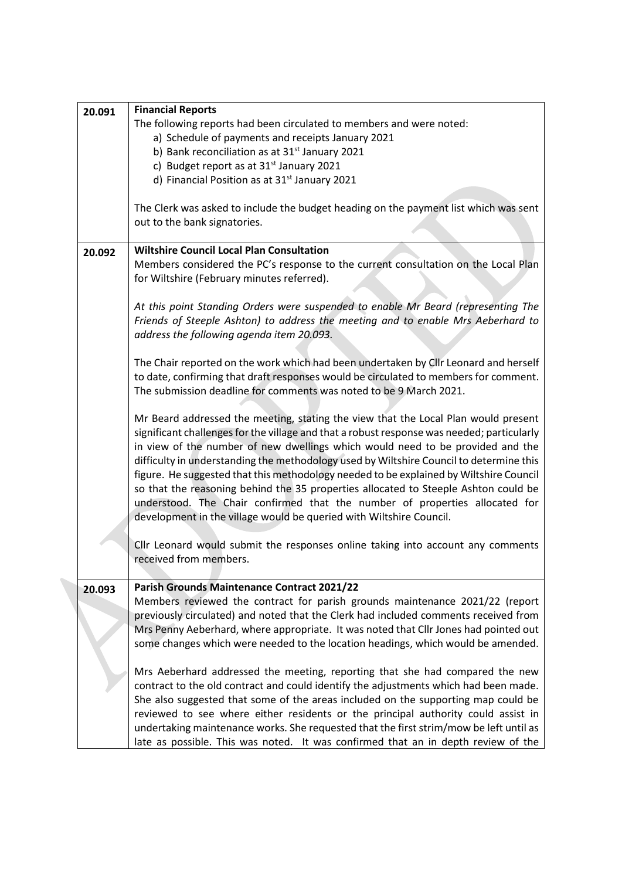| 20.091 | <b>Financial Reports</b>                                                                                                                                                                                                                                                                                                                                                                                                                                                                                                                                                                                                                                                                             |
|--------|------------------------------------------------------------------------------------------------------------------------------------------------------------------------------------------------------------------------------------------------------------------------------------------------------------------------------------------------------------------------------------------------------------------------------------------------------------------------------------------------------------------------------------------------------------------------------------------------------------------------------------------------------------------------------------------------------|
|        | The following reports had been circulated to members and were noted:                                                                                                                                                                                                                                                                                                                                                                                                                                                                                                                                                                                                                                 |
|        | a) Schedule of payments and receipts January 2021                                                                                                                                                                                                                                                                                                                                                                                                                                                                                                                                                                                                                                                    |
|        | b) Bank reconciliation as at 31 <sup>st</sup> January 2021                                                                                                                                                                                                                                                                                                                                                                                                                                                                                                                                                                                                                                           |
|        | c) Budget report as at 31 <sup>st</sup> January 2021                                                                                                                                                                                                                                                                                                                                                                                                                                                                                                                                                                                                                                                 |
|        | d) Financial Position as at 31 <sup>st</sup> January 2021                                                                                                                                                                                                                                                                                                                                                                                                                                                                                                                                                                                                                                            |
|        |                                                                                                                                                                                                                                                                                                                                                                                                                                                                                                                                                                                                                                                                                                      |
|        | The Clerk was asked to include the budget heading on the payment list which was sent                                                                                                                                                                                                                                                                                                                                                                                                                                                                                                                                                                                                                 |
|        | out to the bank signatories.                                                                                                                                                                                                                                                                                                                                                                                                                                                                                                                                                                                                                                                                         |
| 20.092 | <b>Wiltshire Council Local Plan Consultation</b>                                                                                                                                                                                                                                                                                                                                                                                                                                                                                                                                                                                                                                                     |
|        | Members considered the PC's response to the current consultation on the Local Plan<br>for Wiltshire (February minutes referred).                                                                                                                                                                                                                                                                                                                                                                                                                                                                                                                                                                     |
|        |                                                                                                                                                                                                                                                                                                                                                                                                                                                                                                                                                                                                                                                                                                      |
|        | At this point Standing Orders were suspended to enable Mr Beard (representing The<br>Friends of Steeple Ashton) to address the meeting and to enable Mrs Aeberhard to<br>address the following agenda item 20.093.                                                                                                                                                                                                                                                                                                                                                                                                                                                                                   |
|        | The Chair reported on the work which had been undertaken by Cllr Leonard and herself<br>to date, confirming that draft responses would be circulated to members for comment.<br>The submission deadline for comments was noted to be 9 March 2021.                                                                                                                                                                                                                                                                                                                                                                                                                                                   |
|        |                                                                                                                                                                                                                                                                                                                                                                                                                                                                                                                                                                                                                                                                                                      |
|        | Mr Beard addressed the meeting, stating the view that the Local Plan would present<br>significant challenges for the village and that a robust response was needed; particularly<br>in view of the number of new dwellings which would need to be provided and the<br>difficulty in understanding the methodology used by Wiltshire Council to determine this<br>figure. He suggested that this methodology needed to be explained by Wiltshire Council<br>so that the reasoning behind the 35 properties allocated to Steeple Ashton could be<br>understood. The Chair confirmed that the number of properties allocated for<br>development in the village would be queried with Wiltshire Council. |
|        | Cllr Leonard would submit the responses online taking into account any comments<br>received from members.                                                                                                                                                                                                                                                                                                                                                                                                                                                                                                                                                                                            |
| 20.093 | Parish Grounds Maintenance Contract 2021/22                                                                                                                                                                                                                                                                                                                                                                                                                                                                                                                                                                                                                                                          |
|        | Members reviewed the contract for parish grounds maintenance 2021/22 (report<br>previously circulated) and noted that the Clerk had included comments received from<br>Mrs Penny Aeberhard, where appropriate. It was noted that Cllr Jones had pointed out<br>some changes which were needed to the location headings, which would be amended.                                                                                                                                                                                                                                                                                                                                                      |
|        | Mrs Aeberhard addressed the meeting, reporting that she had compared the new<br>contract to the old contract and could identify the adjustments which had been made.<br>She also suggested that some of the areas included on the supporting map could be<br>reviewed to see where either residents or the principal authority could assist in<br>undertaking maintenance works. She requested that the first strim/mow be left until as<br>late as possible. This was noted. It was confirmed that an in depth review of the                                                                                                                                                                        |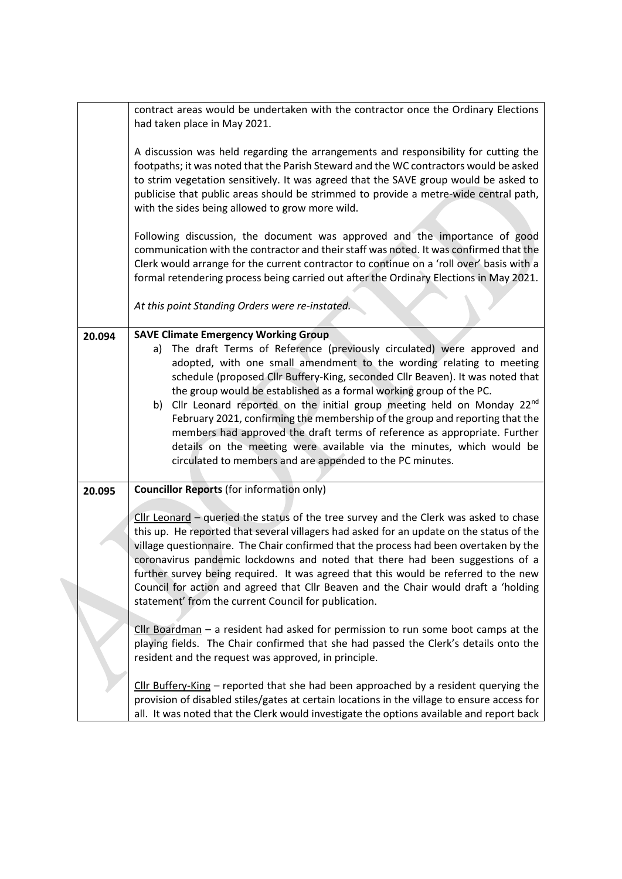|        | contract areas would be undertaken with the contractor once the Ordinary Elections<br>had taken place in May 2021.                                                                                                                                                                                                                                                                                                                                                                                                                                                                                                                                                                                                                                    |
|--------|-------------------------------------------------------------------------------------------------------------------------------------------------------------------------------------------------------------------------------------------------------------------------------------------------------------------------------------------------------------------------------------------------------------------------------------------------------------------------------------------------------------------------------------------------------------------------------------------------------------------------------------------------------------------------------------------------------------------------------------------------------|
|        | A discussion was held regarding the arrangements and responsibility for cutting the<br>footpaths; it was noted that the Parish Steward and the WC contractors would be asked<br>to strim vegetation sensitively. It was agreed that the SAVE group would be asked to<br>publicise that public areas should be strimmed to provide a metre-wide central path,<br>with the sides being allowed to grow more wild.                                                                                                                                                                                                                                                                                                                                       |
|        | Following discussion, the document was approved and the importance of good<br>communication with the contractor and their staff was noted. It was confirmed that the<br>Clerk would arrange for the current contractor to continue on a 'roll over' basis with a<br>formal retendering process being carried out after the Ordinary Elections in May 2021.                                                                                                                                                                                                                                                                                                                                                                                            |
|        | At this point Standing Orders were re-instated.                                                                                                                                                                                                                                                                                                                                                                                                                                                                                                                                                                                                                                                                                                       |
| 20.094 | <b>SAVE Climate Emergency Working Group</b><br>a) The draft Terms of Reference (previously circulated) were approved and<br>adopted, with one small amendment to the wording relating to meeting<br>schedule (proposed Cllr Buffery-King, seconded Cllr Beaven). It was noted that<br>the group would be established as a formal working group of the PC.<br>b) Cllr Leonard reported on the initial group meeting held on Monday 22 <sup>nd</sup><br>February 2021, confirming the membership of the group and reporting that the<br>members had approved the draft terms of reference as appropriate. Further<br>details on the meeting were available via the minutes, which would be<br>circulated to members and are appended to the PC minutes. |
| 20.095 | <b>Councillor Reports (for information only)</b><br>Cllr Leonard - queried the status of the tree survey and the Clerk was asked to chase<br>this up. He reported that several villagers had asked for an update on the status of the<br>village questionnaire. The Chair confirmed that the process had been overtaken by the<br>coronavirus pandemic lockdowns and noted that there had been suggestions of a<br>further survey being required. It was agreed that this would be referred to the new<br>Council for action and agreed that Cllr Beaven and the Chair would draft a 'holding<br>statement' from the current Council for publication.                                                                                                 |
|        | $Clr$ Boardman $-$ a resident had asked for permission to run some boot camps at the<br>playing fields. The Chair confirmed that she had passed the Clerk's details onto the<br>resident and the request was approved, in principle.                                                                                                                                                                                                                                                                                                                                                                                                                                                                                                                  |
|        | Cllr Buffery-King $-$ reported that she had been approached by a resident querying the<br>provision of disabled stiles/gates at certain locations in the village to ensure access for<br>all. It was noted that the Clerk would investigate the options available and report back                                                                                                                                                                                                                                                                                                                                                                                                                                                                     |